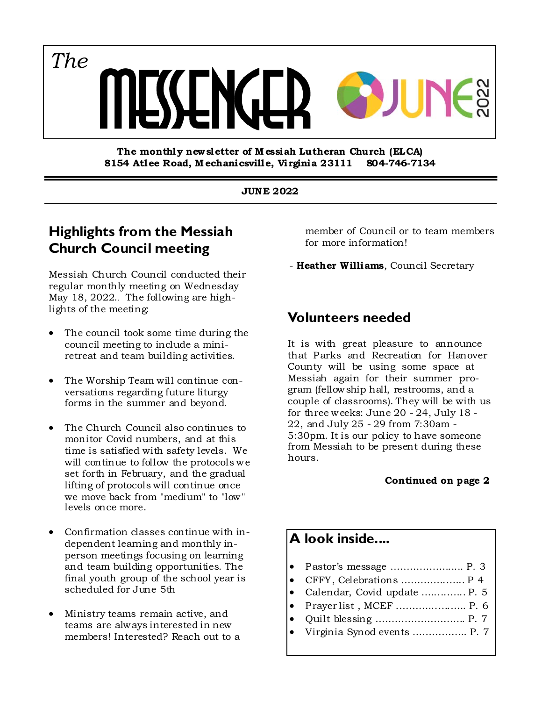*The*

**The monthly new sletter of M essiah Lutheran Church (ELCA) 8154 Atlee Road, M echanicsville, Virginia 23111 804-746-7134** 

#### **JUNE 2022**

## **Highlights from the Messiah Church Council meeting**

Messiah Church Council conducted their regular monthly meeting on Wednesday May 18, 2022.. The following are highlights of the meeting:

- The council took some time during the council meeting to include a miniretreat and team building activities.
- The Worship Team will continue conversations regarding future liturgy forms in the summer and beyond.
- The Church Council also continues to monitor Covid numbers, and at this time is satisfied with safety levels. We will continue to follow the protocols we set forth in February, and the gradual lifting of protocols will continue once we move back from "medium" to "low" levels once more.
- Confirmation classes continue with independent learning and monthly inperson meetings focusing on learning and team building opportunities. The final youth group of the school year is scheduled for June 5th
- Ministry teams remain active, and teams are always interested in new members! Interested? Reach out to a

member of Council or to team members for more information!

- **Heather Williams**, Council Secretary

## **Volunteers needed**

It is with great pleasure to announce that Parks and Recreation for Hanover County will be using some space at Messiah again for their summer program (fellowship hall, restrooms, and a couple of classrooms). They will be with us for three weeks: June 20 - 24, July 18 - 22, and July 25 - 29 from 7:30am - 5:30pm. It is our policy to have someone from Messiah to be present during these hours.

#### **Continued on page 2**

# **A look inside....**

- Pastor's message ………………..... P. 3
- CFFY, Celebrations …………..…... P 4
- Calendar, Covid update ….....…... P. 5 Prayer list , MCEF .………...….….. P. 6
- Quilt blessing ………………………. P. 7
- Virginia Synod events …………….. P. 7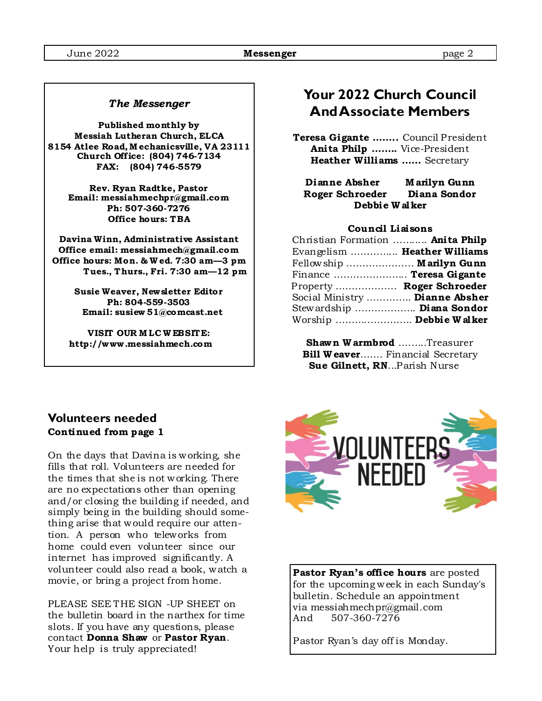#### *The Messenger*

**Published monthly by Messiah Lutheran Church, ELCA 8154 Atlee Road, M echanicsville, VA 23111 Church Off ice: (804) 746-7134 FAX: (804) 746-5579** 

> **Rev. Ryan Radtke, Pastor Email: messiahmechpr@gmail.com Ph: 507-360-7276 Office hours: TBA**

**Davina Winn, Administrative Assistant Office email: messiahmech@gmail.com Office hours: Mon. & W ed. 7:30 am—3 pm Tues., Thurs., Fri. 7:30 am—12 pm** 

> **Susie Weaver, Newsletter Editor Ph: 804-559-3503 Email: susiew 51@comcast.net**

**VISIT OUR M LC W EBSITE: http://www .messiahmech.com** 

## **Your 2022 Church Council And Associate Members**

**Teresa Gigante ……..** Council President **Anita Philp ……..** Vice-President **Heather Williams ……** Secretary

**Dianne Absher M arilyn Gunn Roger Schroeder Diana Sondor Debbie W alker** 

#### **Council Liaisons**

| Christian Formation  Anita Philp |  |
|----------------------------------|--|
| Evangelism  Heather Williams     |  |
| Fellowship  Marilyn Gunn         |  |
| Finance  Teresa Gigante          |  |
| Property  Roger Schroeder        |  |
| Social Ministry  Dianne Absher   |  |
| Stewardship  Diana Sondor        |  |
| Worship  Debbie Walker           |  |

**Shawn W armbrod** ….…..Treasurer **Bill W eaver…….** Financial Secretary  **Sue Gilnett, RN**...Parish Nurse

### **Volunteers needed Continued from page 1**

On the days that Davina is working, she fills that roll. Volunteers are needed for the times that she is not working. There are no expectations other than opening and/or closing the building if needed, and simply being in the building should something arise that would require our attention. A person who teleworks from home could even volunteer since our internet has improved significantly. A volunteer could also read a book, watch a movie, or bring a project from home.

PLEASE SEE THE SIGN -UP SHEET on the bulletin board in the narthex for time slots. If you have any questions, please contact **Donna Shaw** or **Pastor Ryan**. Your help is truly appreciated!



**Pastor Ryan's office hours** are posted for the upcoming week in each Sunday's bulletin. Schedule an appointment via messiahmechpr@gmail.com And 507-360-7276

Pastor Ryan's day off is Monday.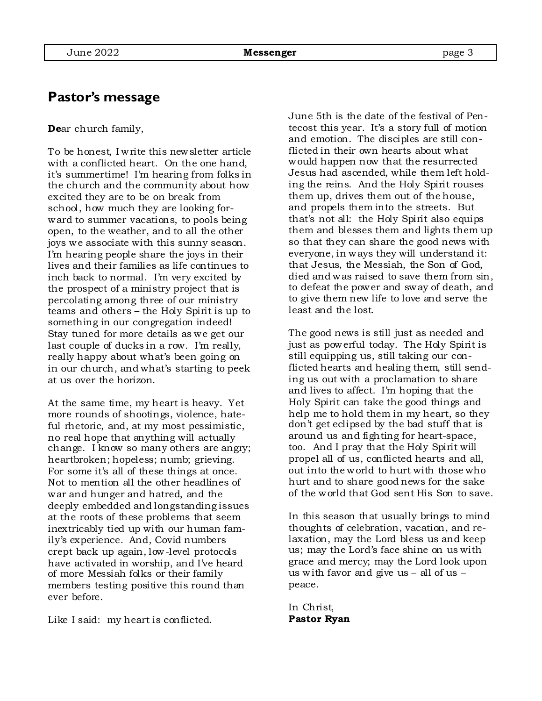## **Pastor's message**

**De**ar church family,

To be honest, I write this newsletter article with a conflicted heart. On the one hand, it's summertime! I'm hearing from folks in the church and the community about how excited they are to be on break from school, how much they are looking forward to summer vacations, to pools being open, to the weather, and to all the other joys we associate with this sunny season. I'm hearing people share the joys in their lives and their families as life continues to inch back to normal. I'm very excited by the prospect of a ministry project that is percolating among three of our ministry teams and others – the Holy Spirit is up to something in our congregation indeed! Stay tuned for more details as we get our last couple of ducks in a row. I'm really, really happy about what's been going on in our church, and what's starting to peek at us over the horizon.

At the same time, my heart is heavy. Yet more rounds of shootings, violence, hateful rhetoric, and, at my most pessimistic, no real hope that anything will actually change. I know so many others are angry; heartbroken; hopeless; numb; grieving. For some it's all of these things at once. Not to mention all the other headlines of war and hunger and hatred, and the deeply embedded and longstanding issues at the roots of these problems that seem inextricably tied up with our human family's experience. And, Covid numbers crept back up again, low-level protocols have activated in worship, and I've heard of more Messiah folks or their family members testing positive this round than ever before.

Like I said: my heart is conflicted.

June 5th is the date of the festival of Pentecost this year. It's a story full of motion and emotion. The disciples are still conflicted in their own hearts about what would happen now that the resurrected Jesus had ascended, while them left holding the reins. And the Holy Spirit rouses them up, drives them out of the house, and propels them into the streets. But that's not all: the Holy Spirit also equips them and blesses them and lights them up so that they can share the good news with everyone, in ways they will understand it: that Jesus, the Messiah, the Son of God, died and was raised to save them from sin, to defeat the power and sway of death, and to give them new life to love and serve the least and the lost.

The good news is still just as needed and just as powerful today. The Holy Spirit is still equipping us, still taking our conflicted hearts and healing them, still sending us out with a proclamation to share and lives to affect. I'm hoping that the Holy Spirit can take the good things and help me to hold them in my heart, so they don't get eclipsed by the bad stuff that is around us and fighting for heart-space, too. And I pray that the Holy Spirit will propel all of us, conflicted hearts and all, out into the world to hurt with those who hurt and to share good news for the sake of the world that God sent His Son to save.

In this season that usually brings to mind thoughts of celebration, vacation, and relaxation, may the Lord bless us and keep us; may the Lord's face shine on us with grace and mercy; may the Lord look upon us with favor and give us – all of us – peace.

In Christ, **Pastor Ryan**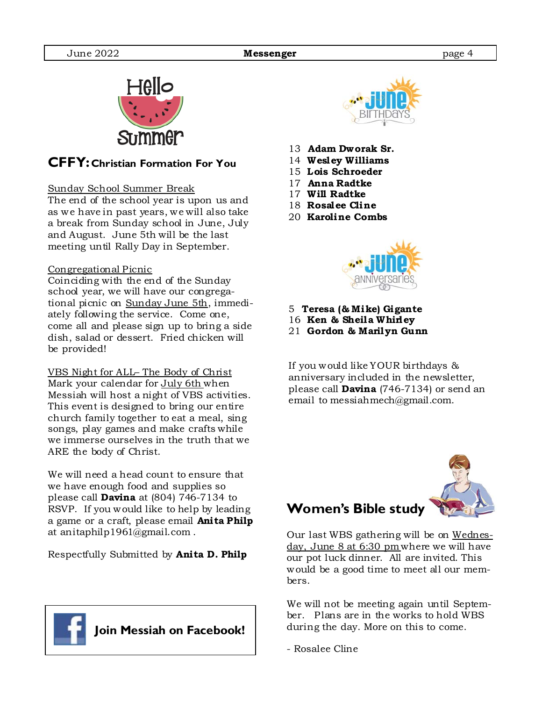

## **CFFY: Christian Formation For You**

#### Sunday School Summer Break

The end of the school year is upon us and as we have in past years, we will also take a break from Sunday school in June, July and August. June 5th will be the last meeting until Rally Day in September.

#### Congregational Picnic

Coinciding with the end of the Sunday school year, we will have our congregational picnic on Sunday June 5th, immediately following the service. Come one, come all and please sign up to bring a side dish, salad or dessert. Fried chicken will be provided!

VBS Night for ALL– The Body of Christ Mark your calendar for July 6th when Messiah will host a night of VBS activities. This event is designed to bring our entire church family together to eat a meal, sing songs, play games and make crafts while we immerse ourselves in the truth that we ARE the body of Christ.

We will need a head count to ensure that we have enough food and supplies so please call **Davina** at (804) 746-7134 to RSVP. If you would like to help by leading a game or a craft, please email **Anita Philp**  at anitaphilp1961@gmail.com .

Respectfully Submitted by **Anita D. Philp**





- 13 **Adam Dworak Sr.**
- 14 **Wesley Williams**
- 15 **Lois Schroeder**
- 17 **Anna Radtke**
- 17 **Will Radtke**
- 18 **Rosalee Cline**
- 20 **Karoline Combs**



- 5 **Teresa (& Mike) Gigante**
- 16 **Ken & Sheila Whirley**
- 21 **Gordon & Marilyn Gunn**

If you would like YOUR birthdays & anniversary included in the newsletter, please call **Davina** (746-7134) or send an email to messiahmech@gmail.com.

# **Women's Bible study**

Our last WBS gathering will be on Wednesday, June 8 at 6:30 pm where we will have our pot luck dinner. All are invited. This would be a good time to meet all our members.

We will not be meeting again until September. Plans are in the works to hold WBS during the day. More on this to come.

- Rosalee Cline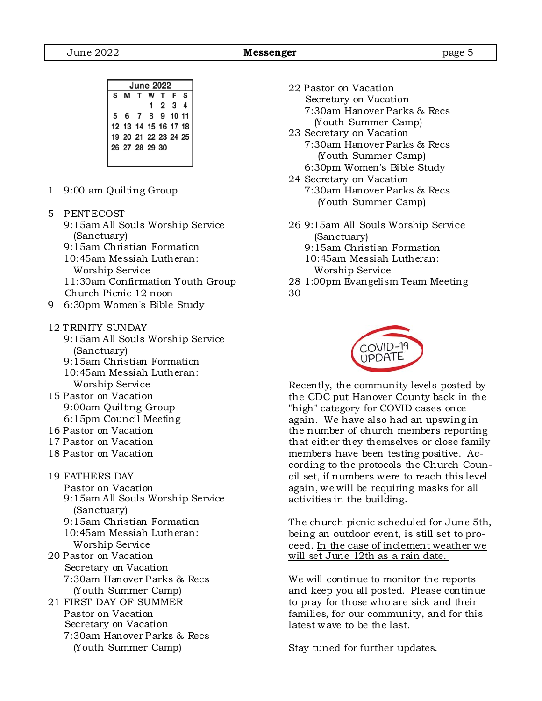|                      | <b>June 2022</b>                       |  |       |  |   |   |
|----------------------|----------------------------------------|--|-------|--|---|---|
| S                    | F                                      |  | T W T |  | м | S |
|                      | 2 3 4                                  |  |       |  |   |   |
| 5 6 7 8 9 10 11      |                                        |  |       |  |   |   |
| 12 13 14 15 16 17 18 |                                        |  |       |  |   |   |
|                      |                                        |  |       |  |   |   |
|                      |                                        |  |       |  |   |   |
|                      |                                        |  |       |  |   |   |
|                      | 19 20 21 22 23 24 25<br>26 27 28 29 30 |  |       |  |   |   |

- 1 9:00 am Quilting Group
- 5 PENTECOST
	- 9:15am All Souls Worship Service (Sanctuary)
	- 9:15am Christian Formation
	- 10:45am Messiah Lutheran:
	- Worship Service
	- 11:30am Confirmation Youth Group Church Picnic 12 noon
- 9 6:30pm Women's Bible Study
- 12 TRINITY SUNDAY
	- 9:15am All Souls Worship Service (Sanctuary)
	- 9:15am Christian Formation
	- 10:45am Messiah Lutheran: Worship Service
- 15 Pastor on Vacation 9:00am Quilting Group 6:15pm Council Meeting
- 16 Pastor on Vacation
- 17 Pastor on Vacation
- 18 Pastor on Vacation
- 19 FATHERS DAY
	- Pastor on Vacation
	- 9:15am All Souls Worship Service (Sanctuary)
	- 9:15am Christian Formation 10:45am Messiah Lutheran:
- Worship Service 20 Pastor on Vacation Secretary on Vacation 7:30am Hanover Parks & Recs (Youth Summer Camp)
- 21 FIRST DAY OF SUMMER Pastor on Vacation Secretary on Vacation 7:30am Hanover Parks & Recs (Youth Summer Camp)
- 22 Pastor on Vacation Secretary on Vacation 7:30am Hanover Parks & Recs (Youth Summer Camp)
- 23 Secretary on Vacation 7:30am Hanover Parks & Recs (Youth Summer Camp) 6:30pm Women's Bible Study
- 24 Secretary on Vacation 7:30am Hanover Parks & Recs (Youth Summer Camp)
- 26 9:15am All Souls Worship Service (Sanctuary)
	- 9:15am Christian Formation 10:45am Messiah Lutheran:
	- Worship Service
- 28 1:00pm Evangelism Team Meeting
- 30



Recently, the community levels posted by the CDC put Hanover County back in the "high" category for COVID cases once again. We have also had an upswing in the number of church members reporting that either they themselves or close family members have been testing positive. According to the protocols the Church Council set, if numbers were to reach this level again, we will be requiring masks for all activities in the building.

The church picnic scheduled for June 5th, being an outdoor event, is still set to proceed. In the case of inclement weather we will set June 12th as a rain date.

We will continue to monitor the reports and keep you all posted. Please continue to pray for those who are sick and their families, for our community, and for this latest wave to be the last.

Stay tuned for further updates.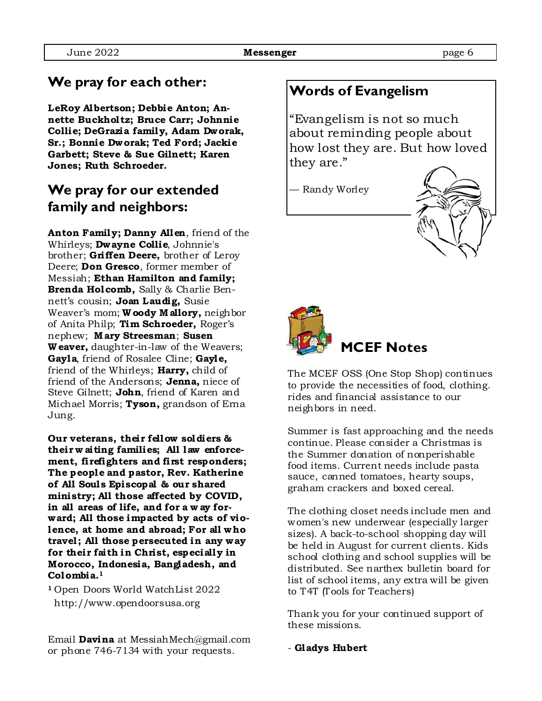## **We pray for each other:**

**LeRoy Albertson; Debbie Anton; Annette Buckholtz; Bruce Carr; Johnnie Collie; DeGrazia family, Adam Dworak, Sr.; Bonnie Dworak; Ted Ford; Jackie Garbett; Steve & Sue Gilnett; Karen Jones; Ruth Schroeder.** 

## **We pray for our extended family and neighbors:**

**Anton Family; Danny Allen**, friend of the Whirleys; **Dwayne Collie**, Johnnie's brother; **Griffen Deere,** brother of Leroy Deere; **Don Gresco**, former member of Messiah; **Ethan Hamilton and family; Brenda Holcomb,** Sally & Charlie Bennett's cousin; **Joan Laudig,** Susie Weaver's mom; **W oody M allory,** neighbor of Anita Philp; **Tim Schroeder,** Roger's nephew; **M ary Streesman**; **Susen W eaver,** daughter-in-law of the Weavers; **Gayla**, friend of Rosalee Cline; **Gayle,**  friend of the Whirleys; **Harry,** child of friend of the Andersons; **Jenna,** niece of Steve Gilnett; **John**, friend of Karen and Michael Morris; **Tyson,** grandson of Erna Jung.

**Our veterans, their fellow soldiers & their w aiting families; All law enforcement, firefighters and first responders; The people and pastor, Rev. Katherine of All Soul s Episcopal & our shared ministry; All those affected by COVID, in all areas of life, and for a w ay forward; All those impacted by acts of violence, at home and abroad; For all who travel ; All those persecuted in any way for their faith in Christ, especially in Morocco, Indonesia, Bangladesh, and Colombia.1** 

**<sup>1</sup>**Open Doors World WatchList 2022 http://www.opendoorsusa.org

Email **Davina** at MessiahMech@gmail.com or phone 746-7134 with your requests.

## **Words of Evangelism**

"Evangelism is not so much about reminding people about how lost they are. But how loved they are."

— Randy Worley





The MCEF OSS (One Stop Shop) continues to provide the necessities of food, clothing. rides and financial assistance to our neighbors in need.

Summer is fast approaching and the needs continue. Please consider a Christmas is the Summer donation of nonperishable food items. Current needs include pasta sauce, canned tomatoes, hearty soups, graham crackers and boxed cereal.

The clothing closet needs include men and women's new underwear (especially larger sizes). A back-to-school shopping day will be held in August for current clients. Kids school clothing and school supplies will be distributed. See narthex bulletin board for list of school items, any extra will be given to T4T (Tools for Teachers)

Thank you for your continued support of these missions.

- **Gladys Hubert**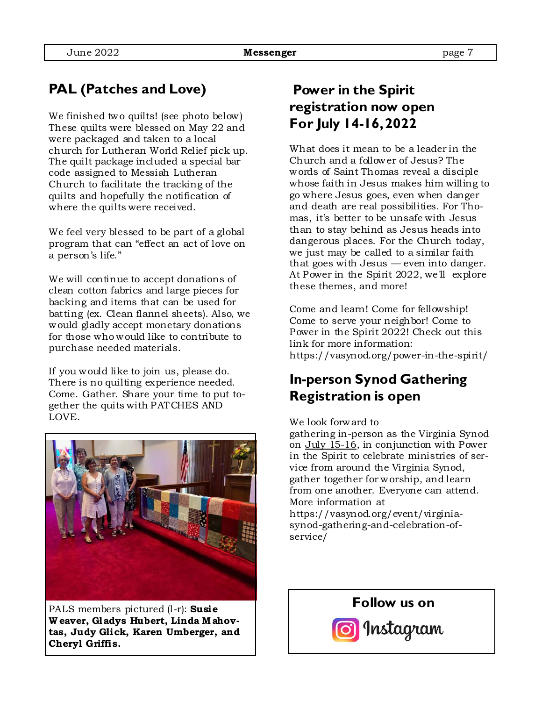# **PAL (Patches and Love)**

We finished two quilts! (see photo below) These quilts were blessed on May 22 and were packaged and taken to a local church for Lutheran World Relief pick up. The quilt package included a special bar code assigned to Messiah Lutheran Church to facilitate the tracking of the quilts and hopefully the notification of where the quilts were received.

We feel very blessed to be part of a global program that can "effect an act of love on a person's life."

We will continue to accept donations of clean cotton fabrics and large pieces for backing and items that can be used for batting (ex. Clean flannel sheets). Also, we would gladly accept monetary donations for those who would like to contribute to purchase needed materials.

If you would like to join us, please do. There is no quilting experience needed. Come. Gather. Share your time to put together the quits with PATCHES AND LOVE.



PALS members pictured (l-r): **Susie W eaver, Gladys Hubert, Linda M ahovtas, Judy Glick, Karen Umberger, and Cheryl Griffis.** 

## **Power in the Spirit registration now open For July 14-16, 2022**

What does it mean to be a leader in the Church and a follower of Jesus? The words of Saint Thomas reveal a disciple whose faith in Jesus makes him willing to go where Jesus goes, even when danger and death are real possibilities. For Thomas, it's better to be unsafe with Jesus than to stay behind as Jesus heads into dangerous places. For the Church today, we just may be called to a similar faith that goes with Jesus — even into danger. At Power in the Spirit 2022, we'll explore these themes, and more!

Come and learn! Come for fellowship! Come to serve your neighbor! Come to Power in the Spirit 2022! Check out this link for more information: https://vasynod.org/power-in-the-spirit/

## **In-person Synod Gathering Registration is open**

#### We look forward to

gathering in-person as the Virginia Synod on July 15-16, in conjunction with Power in the Spirit to celebrate ministries of service from around the Virginia Synod, gather together for worship, and learn from one another. Everyone can attend. More information at https://vasynod.org/event/virginia-

synod-gathering-and-celebration-ofservice/